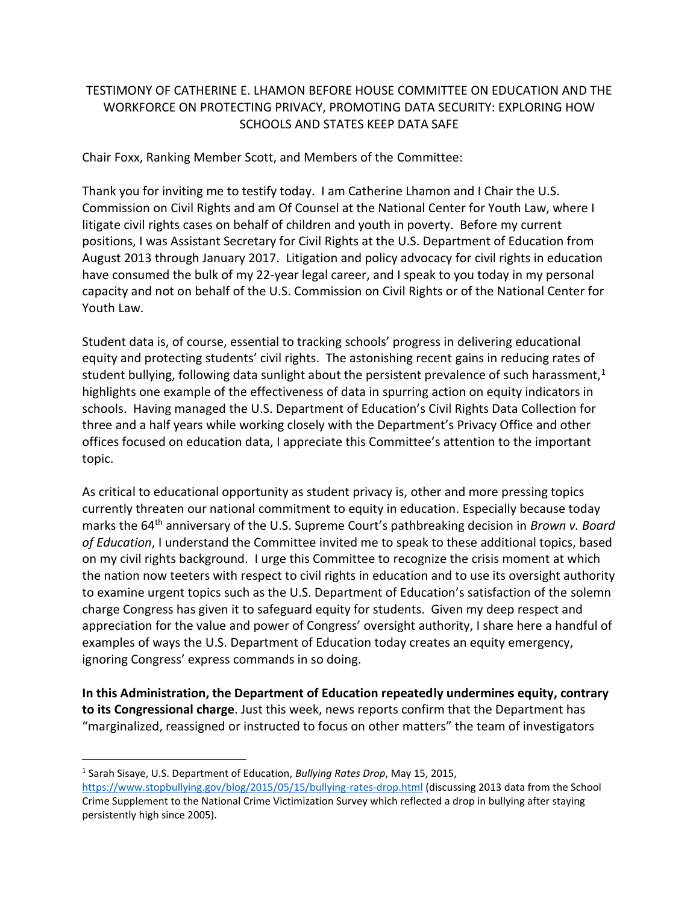## TESTIMONY OF CATHERINE E. LHAMON BEFORE HOUSE COMMITTEE ON EDUCATION AND THE WORKFORCE ON PROTECTING PRIVACY, PROMOTING DATA SECURITY: EXPLORING HOW SCHOOLS AND STATES KEEP DATA SAFE

Chair Foxx, Ranking Member Scott, and Members of the Committee:

Thank you for inviting me to testify today. I am Catherine Lhamon and I Chair the U.S. Commission on Civil Rights and am Of Counsel at the National Center for Youth Law, where I litigate civil rights cases on behalf of children and youth in poverty. Before my current positions, I was Assistant Secretary for Civil Rights at the U.S. Department of Education from August 2013 through January 2017. Litigation and policy advocacy for civil rights in education have consumed the bulk of my 22-year legal career, and I speak to you today in my personal capacity and not on behalf of the U.S. Commission on Civil Rights or of the National Center for Youth Law.

Student data is, of course, essential to tracking schools' progress in delivering educational equity and protecting students' civil rights. The astonishing recent gains in reducing rates of student bullying, following data sunlight about the persistent prevalence of such harassment, $1$ highlights one example of the effectiveness of data in spurring action on equity indicators in schools. Having managed the U.S. Department of Education's Civil Rights Data Collection for three and a half years while working closely with the Department's Privacy Office and other offices focused on education data, I appreciate this Committee's attention to the important topic.

As critical to educational opportunity as student privacy is, other and more pressing topics currently threaten our national commitment to equity in education. Especially because today marks the 64th anniversary of the U.S. Supreme Court's pathbreaking decision in *Brown v. Board of Education*, I understand the Committee invited me to speak to these additional topics, based on my civil rights background. I urge this Committee to recognize the crisis moment at which the nation now teeters with respect to civil rights in education and to use its oversight authority to examine urgent topics such as the U.S. Department of Education's satisfaction of the solemn charge Congress has given it to safeguard equity for students. Given my deep respect and appreciation for the value and power of Congress' oversight authority, I share here a handful of examples of ways the U.S. Department of Education today creates an equity emergency, ignoring Congress' express commands in so doing.

**In this Administration, the Department of Education repeatedly undermines equity, contrary to its Congressional charge**. Just this week, news reports confirm that the Department has "marginalized, reassigned or instructed to focus on other matters" the team of investigators

<sup>1</sup> Sarah Sisaye, U.S. Department of Education, *Bullying Rates Drop*, May 15, 2015,

<https://www.stopbullying.gov/blog/2015/05/15/bullying-rates-drop.html> (discussing 2013 data from the School Crime Supplement to the National Crime Victimization Survey which reflected a drop in bullying after staying persistently high since 2005).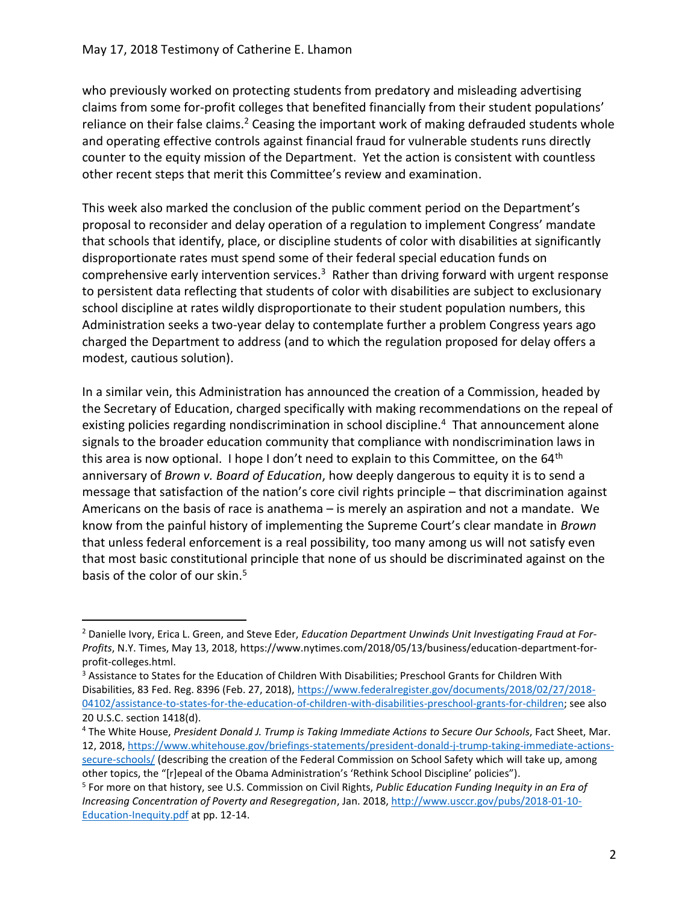$\overline{a}$ 

who previously worked on protecting students from predatory and misleading advertising claims from some for-profit colleges that benefited financially from their student populations' reliance on their false claims.<sup>2</sup> Ceasing the important work of making defrauded students whole and operating effective controls against financial fraud for vulnerable students runs directly counter to the equity mission of the Department. Yet the action is consistent with countless other recent steps that merit this Committee's review and examination.

This week also marked the conclusion of the public comment period on the Department's proposal to reconsider and delay operation of a regulation to implement Congress' mandate that schools that identify, place, or discipline students of color with disabilities at significantly disproportionate rates must spend some of their federal special education funds on comprehensive early intervention services.<sup>3</sup> Rather than driving forward with urgent response to persistent data reflecting that students of color with disabilities are subject to exclusionary school discipline at rates wildly disproportionate to their student population numbers, this Administration seeks a two-year delay to contemplate further a problem Congress years ago charged the Department to address (and to which the regulation proposed for delay offers a modest, cautious solution).

In a similar vein, this Administration has announced the creation of a Commission, headed by the Secretary of Education, charged specifically with making recommendations on the repeal of existing policies regarding nondiscrimination in school discipline.<sup>4</sup> That announcement alone signals to the broader education community that compliance with nondiscrimination laws in this area is now optional. I hope I don't need to explain to this Committee, on the 64<sup>th</sup> anniversary of *Brown v. Board of Education*, how deeply dangerous to equity it is to send a message that satisfaction of the nation's core civil rights principle – that discrimination against Americans on the basis of race is anathema – is merely an aspiration and not a mandate. We know from the painful history of implementing the Supreme Court's clear mandate in *Brown* that unless federal enforcement is a real possibility, too many among us will not satisfy even that most basic constitutional principle that none of us should be discriminated against on the basis of the color of our skin.<sup>5</sup>

<sup>2</sup> Danielle Ivory, Erica L. Green, and Steve Eder, *Education Department Unwinds Unit Investigating Fraud at For-Profits*, N.Y. Times, May 13, 2018, https://www.nytimes.com/2018/05/13/business/education-department-forprofit-colleges.html.

<sup>&</sup>lt;sup>3</sup> Assistance to States for the Education of Children With Disabilities; Preschool Grants for Children With Disabilities, 83 Fed. Reg. 8396 (Feb. 27, 2018)[, https://www.federalregister.gov/documents/2018/02/27/2018-](https://www.federalregister.gov/documents/2018/02/27/2018-04102/assistance-to-states-for-the-education-of-children-with-disabilities-preschool-grants-for-children) [04102/assistance-to-states-for-the-education-of-children-with-disabilities-preschool-grants-for-children;](https://www.federalregister.gov/documents/2018/02/27/2018-04102/assistance-to-states-for-the-education-of-children-with-disabilities-preschool-grants-for-children) see also 20 U.S.C. section 1418(d).

<sup>4</sup> The White House, *President Donald J. Trump is Taking Immediate Actions to Secure Our Schools*, Fact Sheet, Mar. 12, 2018, [https://www.whitehouse.gov/briefings-statements/president-donald-j-trump-taking-immediate-actions](https://www.whitehouse.gov/briefings-statements/president-donald-j-trump-taking-immediate-actions-secure-schools/)[secure-schools/](https://www.whitehouse.gov/briefings-statements/president-donald-j-trump-taking-immediate-actions-secure-schools/) (describing the creation of the Federal Commission on School Safety which will take up, among other topics, the "[r]epeal of the Obama Administration's 'Rethink School Discipline' policies").

<sup>5</sup> For more on that history, see U.S. Commission on Civil Rights, *Public Education Funding Inequity in an Era of Increasing Concentration of Poverty and Resegregation*, Jan. 2018, [http://www.usccr.gov/pubs/2018-01-10-](http://www.usccr.gov/pubs/2018-01-10-Education-Inequity.pdf) [Education-Inequity.pdf](http://www.usccr.gov/pubs/2018-01-10-Education-Inequity.pdf) at pp. 12-14.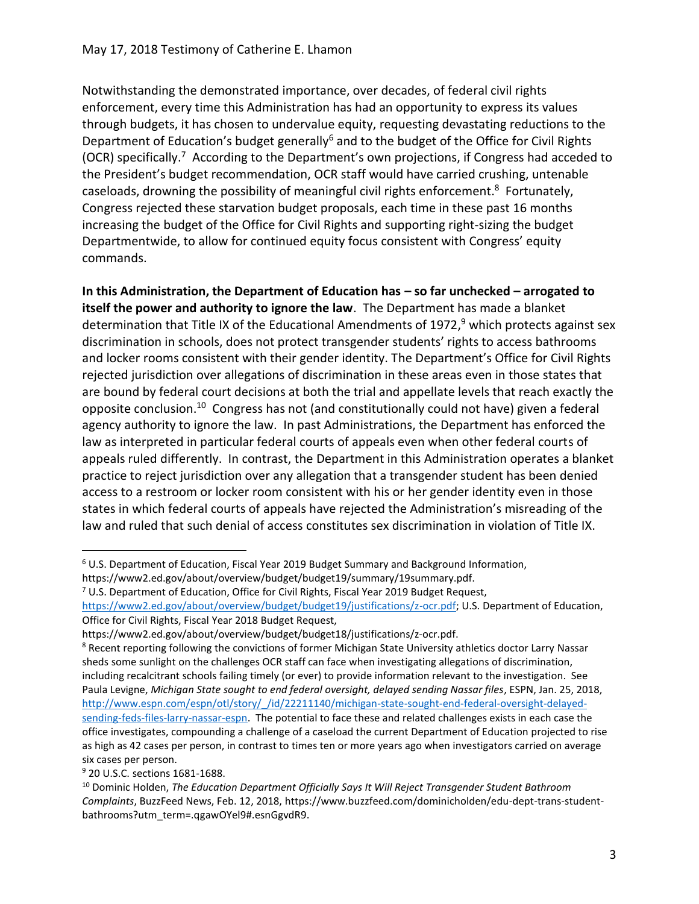Notwithstanding the demonstrated importance, over decades, of federal civil rights enforcement, every time this Administration has had an opportunity to express its values through budgets, it has chosen to undervalue equity, requesting devastating reductions to the Department of Education's budget generally<sup>6</sup> and to the budget of the Office for Civil Rights (OCR) specifically.<sup>7</sup> According to the Department's own projections, if Congress had acceded to the President's budget recommendation, OCR staff would have carried crushing, untenable caseloads, drowning the possibility of meaningful civil rights enforcement.<sup>8</sup> Fortunately, Congress rejected these starvation budget proposals, each time in these past 16 months increasing the budget of the Office for Civil Rights and supporting right-sizing the budget Departmentwide, to allow for continued equity focus consistent with Congress' equity commands.

**In this Administration, the Department of Education has – so far unchecked – arrogated to itself the power and authority to ignore the law**. The Department has made a blanket determination that Title IX of the Educational Amendments of 1972,<sup>9</sup> which protects against sex discrimination in schools, does not protect transgender students' rights to access bathrooms and locker rooms consistent with their gender identity. The Department's Office for Civil Rights rejected jurisdiction over allegations of discrimination in these areas even in those states that are bound by federal court decisions at both the trial and appellate levels that reach exactly the opposite conclusion.<sup>10</sup> Congress has not (and constitutionally could not have) given a federal agency authority to ignore the law. In past Administrations, the Department has enforced the law as interpreted in particular federal courts of appeals even when other federal courts of appeals ruled differently. In contrast, the Department in this Administration operates a blanket practice to reject jurisdiction over any allegation that a transgender student has been denied access to a restroom or locker room consistent with his or her gender identity even in those states in which federal courts of appeals have rejected the Administration's misreading of the law and ruled that such denial of access constitutes sex discrimination in violation of Title IX.

<sup>7</sup> U.S. Department of Education, Office for Civil Rights, Fiscal Year 2019 Budget Request, [https://www2.ed.gov/about/overview/budget/budget19/justifications/z-ocr.pdf;](https://www2.ed.gov/about/overview/budget/budget19/justifications/z-ocr.pdf) U.S. Department of Education,

Office for Civil Rights, Fiscal Year 2018 Budget Request,

https://www2.ed.gov/about/overview/budget/budget18/justifications/z‐ocr.pdf.

<sup>8</sup> Recent reporting following the convictions of former Michigan State University athletics doctor Larry Nassar sheds some sunlight on the challenges OCR staff can face when investigating allegations of discrimination, including recalcitrant schools failing timely (or ever) to provide information relevant to the investigation. See Paula Levigne, *Michigan State sought to end federal oversight, delayed sending Nassar files*, ESPN, Jan. 25, 2018, [http://www.espn.com/espn/otl/story/\\_/id/22211140/michigan-state-sought-end-federal-oversight-delayed](http://www.espn.com/espn/otl/story/_/id/22211140/michigan-state-sought-end-federal-oversight-delayed-sending-feds-files-larry-nassar-espn)[sending-feds-files-larry-nassar-espn.](http://www.espn.com/espn/otl/story/_/id/22211140/michigan-state-sought-end-federal-oversight-delayed-sending-feds-files-larry-nassar-espn) The potential to face these and related challenges exists in each case the office investigates, compounding a challenge of a caseload the current Department of Education projected to rise as high as 42 cases per person, in contrast to times ten or more years ago when investigators carried on average six cases per person.

<sup>9</sup> 20 U.S.C. sections 1681-1688.

<sup>6</sup> U.S. Department of Education, Fiscal Year 2019 Budget Summary and Background Information, https://www2.ed.gov/about/overview/budget/budget19/summary/19summary.pdf.

<sup>10</sup> Dominic Holden, *The Education Department Officially Says It Will Reject Transgender Student Bathroom Complaints*, BuzzFeed News, Feb. 12, 2018, https://www.buzzfeed.com/dominicholden/edu-dept-trans-studentbathrooms?utm\_term=.qgawOYel9#.esnGgvdR9.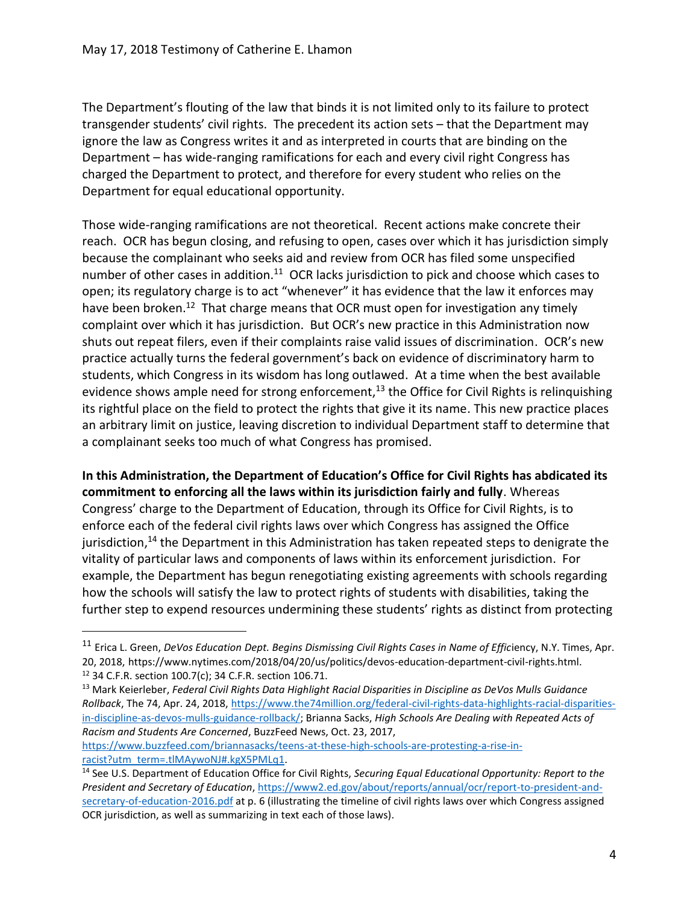The Department's flouting of the law that binds it is not limited only to its failure to protect transgender students' civil rights. The precedent its action sets – that the Department may ignore the law as Congress writes it and as interpreted in courts that are binding on the Department – has wide-ranging ramifications for each and every civil right Congress has charged the Department to protect, and therefore for every student who relies on the Department for equal educational opportunity.

Those wide-ranging ramifications are not theoretical. Recent actions make concrete their reach. OCR has begun closing, and refusing to open, cases over which it has jurisdiction simply because the complainant who seeks aid and review from OCR has filed some unspecified number of other cases in addition.<sup>11</sup> OCR lacks jurisdiction to pick and choose which cases to open; its regulatory charge is to act "whenever" it has evidence that the law it enforces may have been broken.<sup>12</sup> That charge means that OCR must open for investigation any timely complaint over which it has jurisdiction. But OCR's new practice in this Administration now shuts out repeat filers, even if their complaints raise valid issues of discrimination. OCR's new practice actually turns the federal government's back on evidence of discriminatory harm to students, which Congress in its wisdom has long outlawed. At a time when the best available evidence shows ample need for strong enforcement,<sup>13</sup> the Office for Civil Rights is relinquishing its rightful place on the field to protect the rights that give it its name. This new practice places an arbitrary limit on justice, leaving discretion to individual Department staff to determine that a complainant seeks too much of what Congress has promised.

**In this Administration, the Department of Education's Office for Civil Rights has abdicated its commitment to enforcing all the laws within its jurisdiction fairly and fully**. Whereas Congress' charge to the Department of Education, through its Office for Civil Rights, is to enforce each of the federal civil rights laws over which Congress has assigned the Office jurisdiction,<sup>14</sup> the Department in this Administration has taken repeated steps to denigrate the vitality of particular laws and components of laws within its enforcement jurisdiction. For example, the Department has begun renegotiating existing agreements with schools regarding how the schools will satisfy the law to protect rights of students with disabilities, taking the further step to expend resources undermining these students' rights as distinct from protecting

[racist?utm\\_term=.tlMAywoNJ#.kgX5PMLq1.](https://www.buzzfeed.com/briannasacks/teens-at-these-high-schools-are-protesting-a-rise-in-racist?utm_term=.tlMAywoNJ#.kgX5PMLq1) 

<sup>&</sup>lt;sup>11</sup> Erica L. Green, *DeVos Education Dept. Begins Dismissing Civil Rights Cases in Name of Efficiency, N.Y. Times, Apr.* 20, 2018, https://www.nytimes.com/2018/04/20/us/politics/devos-education-department-civil-rights.html. <sup>12</sup> 34 C.F.R. section 100.7(c); 34 C.F.R. section 106.71.

<sup>13</sup> Mark Keierleber, *Federal Civil Rights Data Highlight Racial Disparities in Discipline as DeVos Mulls Guidance Rollback*, The 74, Apr. 24, 2018[, https://www.the74million.org/federal-civil-rights-data-highlights-racial-disparities](https://www.the74million.org/federal-civil-rights-data-highlights-racial-disparities-in-discipline-as-devos-mulls-guidance-rollback/)[in-discipline-as-devos-mulls-guidance-rollback/;](https://www.the74million.org/federal-civil-rights-data-highlights-racial-disparities-in-discipline-as-devos-mulls-guidance-rollback/) Brianna Sacks, *High Schools Are Dealing with Repeated Acts of Racism and Students Are Concerned*, BuzzFeed News, Oct. 23, 2017, [https://www.buzzfeed.com/briannasacks/teens-at-these-high-schools-are-protesting-a-rise-in-](https://www.buzzfeed.com/briannasacks/teens-at-these-high-schools-are-protesting-a-rise-in-racist?utm_term=.tlMAywoNJ#.kgX5PMLq1)

<sup>14</sup> See U.S. Department of Education Office for Civil Rights, *Securing Equal Educational Opportunity: Report to the President and Secretary of Education*, [https://www2.ed.gov/about/reports/annual/ocr/report-to-president-and](https://www2.ed.gov/about/reports/annual/ocr/report-to-president-and-secretary-of-education-2016.pdf)[secretary-of-education-2016.pdf](https://www2.ed.gov/about/reports/annual/ocr/report-to-president-and-secretary-of-education-2016.pdf) at p. 6 (illustrating the timeline of civil rights laws over which Congress assigned OCR jurisdiction, as well as summarizing in text each of those laws).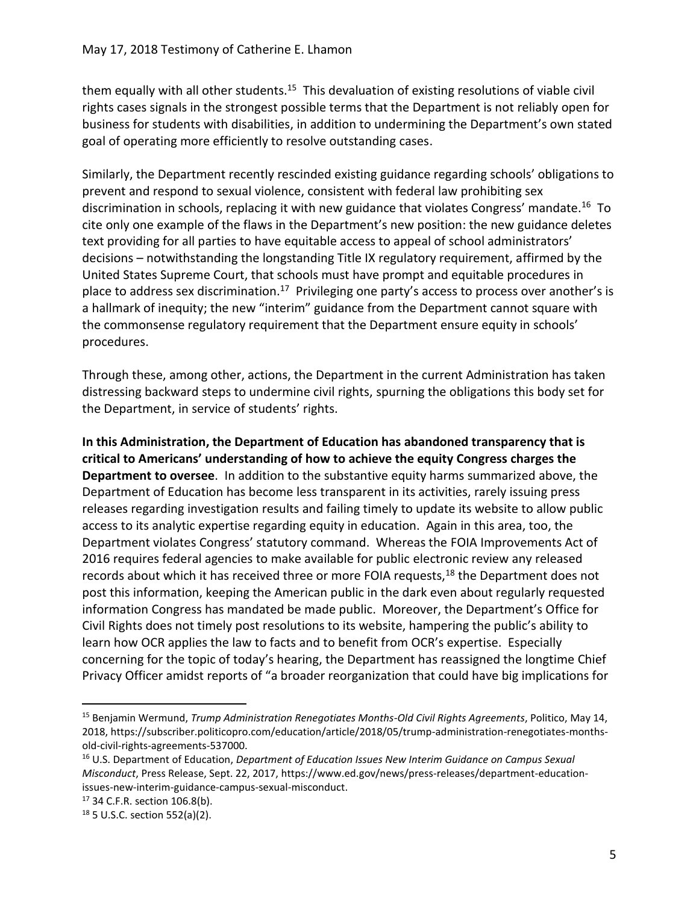them equally with all other students.<sup>15</sup> This devaluation of existing resolutions of viable civil rights cases signals in the strongest possible terms that the Department is not reliably open for business for students with disabilities, in addition to undermining the Department's own stated goal of operating more efficiently to resolve outstanding cases.

Similarly, the Department recently rescinded existing guidance regarding schools' obligations to prevent and respond to sexual violence, consistent with federal law prohibiting sex discrimination in schools, replacing it with new guidance that violates Congress' mandate.<sup>16</sup> To cite only one example of the flaws in the Department's new position: the new guidance deletes text providing for all parties to have equitable access to appeal of school administrators' decisions – notwithstanding the longstanding Title IX regulatory requirement, affirmed by the United States Supreme Court, that schools must have prompt and equitable procedures in place to address sex discrimination.<sup>17</sup> Privileging one party's access to process over another's is a hallmark of inequity; the new "interim" guidance from the Department cannot square with the commonsense regulatory requirement that the Department ensure equity in schools' procedures.

Through these, among other, actions, the Department in the current Administration has taken distressing backward steps to undermine civil rights, spurning the obligations this body set for the Department, in service of students' rights.

**In this Administration, the Department of Education has abandoned transparency that is critical to Americans' understanding of how to achieve the equity Congress charges the Department to oversee**. In addition to the substantive equity harms summarized above, the Department of Education has become less transparent in its activities, rarely issuing press releases regarding investigation results and failing timely to update its website to allow public access to its analytic expertise regarding equity in education. Again in this area, too, the Department violates Congress' statutory command. Whereas the FOIA Improvements Act of 2016 requires federal agencies to make available for public electronic review any released records about which it has received three or more FOIA requests,<sup>18</sup> the Department does not post this information, keeping the American public in the dark even about regularly requested information Congress has mandated be made public. Moreover, the Department's Office for Civil Rights does not timely post resolutions to its website, hampering the public's ability to learn how OCR applies the law to facts and to benefit from OCR's expertise. Especially concerning for the topic of today's hearing, the Department has reassigned the longtime Chief Privacy Officer amidst reports of "a broader reorganization that could have big implications for

<sup>15</sup> Benjamin Wermund, *Trump Administration Renegotiates Months-Old Civil Rights Agreements*, Politico, May 14, 2018, https://subscriber.politicopro.com/education/article/2018/05/trump-administration-renegotiates-monthsold-civil-rights-agreements-537000.

<sup>16</sup> U.S. Department of Education, *Department of Education Issues New Interim Guidance on Campus Sexual Misconduct*, Press Release, Sept. 22, 2017, https://www.ed.gov/news/press-releases/department-educationissues-new-interim-guidance-campus-sexual-misconduct.

<sup>17</sup> 34 C.F.R. section 106.8(b).

<sup>18</sup> 5 U.S.C. section 552(a)(2).